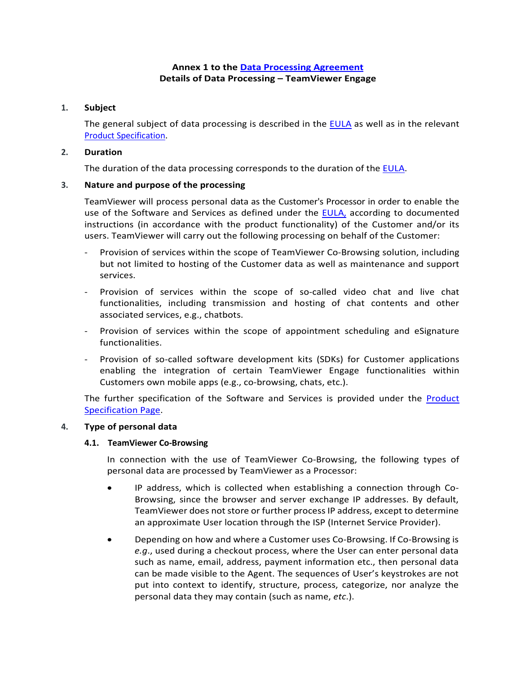## **Annex 1 to the [Data Processing Agreement](https://www.teamviewer.com/en/eula/#dpa) Details of Data Processing – TeamViewer Engage**

## **1. Subject**

The general subject of data processing is described in the [EULA](https://www.teamviewer.com/en/eula/#eula) as well as in the relevant [Product Specification.](https://www.teamviewer.com/en/product-descriptions/#engage)

## **2. Duration**

The duration of the data processing corresponds to the duration of the [EULA.](https://www.teamviewer.com/en/eula/#eula)

## **3. Nature and purpose of the processing**

TeamViewer will process personal data as the Customer's Processor in order to enable the use of the Software and Services as defined under the [EULA,](https://www.teamviewer.com/en/eula/#eula) according to documented instructions (in accordance with the product functionality) of the Customer and/or its users. TeamViewer will carry out the following processing on behalf of the Customer:

- Provision of services within the scope of TeamViewer Co-Browsing solution, including but not limited to hosting of the Customer data as well as maintenance and support services.
- Provision of services within the scope of so-called video chat and live chat functionalities, including transmission and hosting of chat contents and other associated services, e.g., chatbots.
- Provision of services within the scope of appointment scheduling and eSignature functionalities.
- Provision of so-called software development kits (SDKs) for Customer applications enabling the integration of certain TeamViewer Engage functionalities within Customers own mobile apps (e.g., co-browsing, chats, etc.).

The further specification of the Software and Services is provided under the [Product](https://www.teamviewer.com/en/product-descriptions/#engage)  [Specification Page.](https://www.teamviewer.com/en/product-descriptions/#engage)

#### <span id="page-0-1"></span><span id="page-0-0"></span>**4. Type of personal data**

#### **4.1. TeamViewer Co-Browsing**

In connection with the use of TeamViewer Co-Browsing, the following types of personal data are processed by TeamViewer as a Processor:

- IP address, which is collected when establishing a connection through Co-Browsing, since the browser and server exchange IP addresses. By default, TeamViewer does not store or further process IP address, except to determine an approximate User location through the ISP (Internet Service Provider).
- Depending on how and where a Customer uses Co-Browsing. If Co-Browsing is *e.g*., used during a checkout process, where the User can enter personal data such as name, email, address, payment information etc., then personal data can be made visible to the Agent. The sequences of User's keystrokes are not put into context to identify, structure, process, categorize, nor analyze the personal data they may contain (such as name, *etc*.).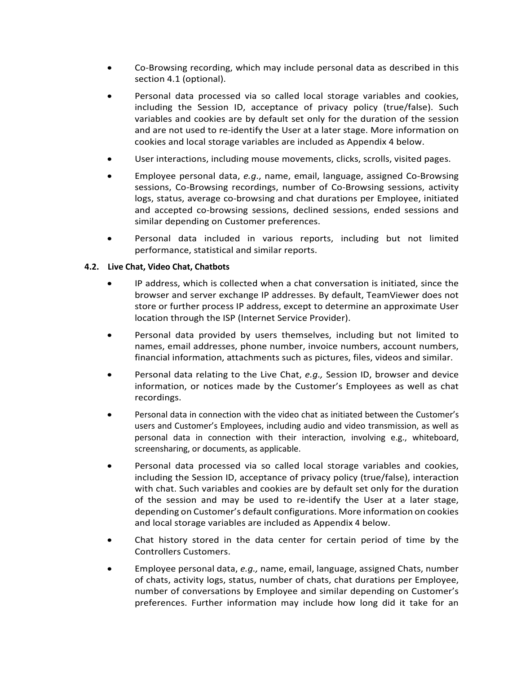- Co-Browsing recording, which may include personal data as described in this section [4.1](#page-0-0) (optional).
- Personal data processed via so called local storage variables and cookies, including the Session ID, acceptance of privacy policy (true/false). Such variables and cookies are by default set only for the duration of the session and are not used to re-identify the User at a later stage. More information on cookies and local storage variables are included as Appendix [4](#page-0-1) below.
- User interactions, including mouse movements, clicks, scrolls, visited pages.
- Employee personal data, *e.g*., name, email, language, assigned Co-Browsing sessions, Co-Browsing recordings, number of Co-Browsing sessions, activity logs, status, average co-browsing and chat durations per Employee, initiated and accepted co-browsing sessions, declined sessions, ended sessions and similar depending on Customer preferences.
- Personal data included in various reports, including but not limited performance, statistical and similar reports.

## **4.2. Live Chat, Video Chat, Chatbots**

- IP address, which is collected when a chat conversation is initiated, since the browser and server exchange IP addresses. By default, TeamViewer does not store or further process IP address, except to determine an approximate User location through the ISP (Internet Service Provider).
- Personal data provided by users themselves, including but not limited to names, email addresses, phone number, invoice numbers, account numbers, financial information, attachments such as pictures, files, videos and similar.
- Personal data relating to the Live Chat, *e.g.,* Session ID, browser and device information, or notices made by the Customer's Employees as well as chat recordings.
- Personal data in connection with the video chat as initiated between the Customer's users and Customer's Employees, including audio and video transmission, as well as personal data in connection with their interaction, involving e.g., whiteboard, screensharing, or documents, as applicable.
- Personal data processed via so called local storage variables and cookies, including the Session ID, acceptance of privacy policy (true/false), interaction with chat. Such variables and cookies are by default set only for the duration of the session and may be used to re-identify the User at a later stage, depending on Customer's default configurations. More information on cookies and local storage variables are included as Appendix [4](#page-0-1) below.
- Chat history stored in the data center for certain period of time by the Controllers Customers.
- Employee personal data, *e.g.,* name, email, language, assigned Chats, number of chats, activity logs, status, number of chats, chat durations per Employee, number of conversations by Employee and similar depending on Customer's preferences. Further information may include how long did it take for an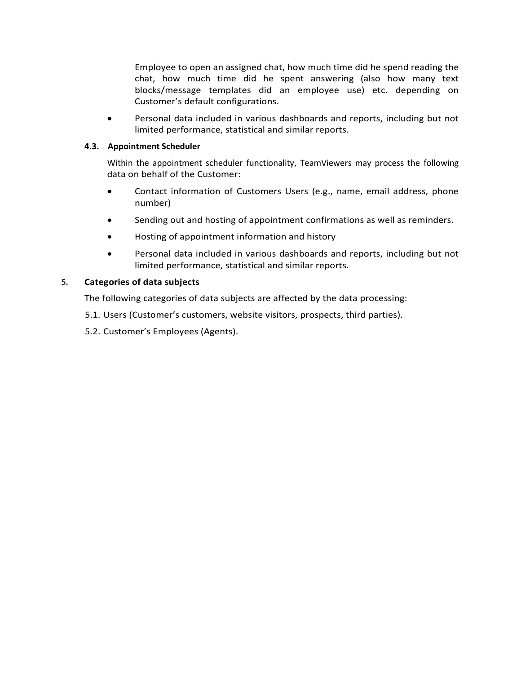Employee to open an assigned chat, how much time did he spend reading the chat, how much time did he spent answering (also how many text blocks/message templates did an employee use) etc. depending on Customer's default configurations.

• Personal data included in various dashboards and reports, including but not limited performance, statistical and similar reports.

## **4.3. Appointment Scheduler**

Within the appointment scheduler functionality, TeamViewers may process the following data on behalf of the Customer:

- Contact information of Customers Users (e.g., name, email address, phone number)
- Sending out and hosting of appointment confirmations as well as reminders.
- Hosting of appointment information and history
- Personal data included in various dashboards and reports, including but not limited performance, statistical and similar reports.

## **5. Categories of data subjects**

The following categories of data subjects are affected by the data processing:

- 5.1. Users (Customer's customers, website visitors, prospects, third parties).
- 5.2. Customer's Employees (Agents).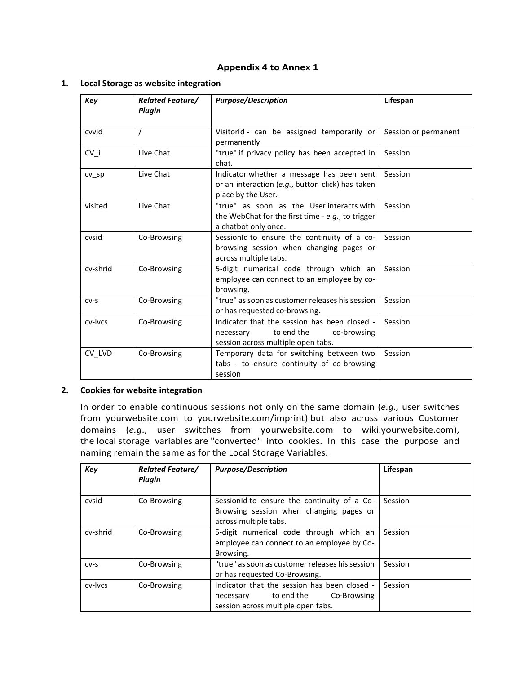### **Appendix [4](#page-0-1) to Annex 1**

### **1. Local Storage as website integration**

| Key      | <b>Related Feature/</b><br><b>Plugin</b> | <b>Purpose/Description</b>                                                                                                   | Lifespan             |
|----------|------------------------------------------|------------------------------------------------------------------------------------------------------------------------------|----------------------|
| cvvid    |                                          | VisitorId - can be assigned temporarily or<br>permanently                                                                    | Session or permanent |
| CV i     | Live Chat                                | "true" if privacy policy has been accepted in<br>chat.                                                                       | Session              |
| CV Sp    | Live Chat                                | Indicator whether a message has been sent<br>or an interaction (e.g., button click) has taken<br>place by the User.          | Session              |
| visited  | Live Chat                                | "true" as soon as the User interacts with<br>the WebChat for the first time - e.g., to trigger<br>a chatbot only once.       | Session              |
| cysid    | Co-Browsing                              | SessionId to ensure the continuity of a co-<br>browsing session when changing pages or<br>across multiple tabs.              | Session              |
| cv-shrid | Co-Browsing                              | 5-digit numerical code through which an<br>employee can connect to an employee by co-<br>browsing.                           | Session              |
| $CV-S$   | Co-Browsing                              | "true" as soon as customer releases his session<br>or has requested co-browsing.                                             | Session              |
| cv-lycs  | Co-Browsing                              | Indicator that the session has been closed -<br>to end the<br>co-browsing<br>necessary<br>session across multiple open tabs. | Session              |
| CV_LVD   | Co-Browsing                              | Temporary data for switching between two<br>tabs - to ensure continuity of co-browsing<br>session                            | Session              |

#### **2. Cookies for website integration**

In order to enable continuous sessions not only on the same domain (*e.g.,* user switches from yourwebsite.com to yourwebsite.com/imprint) but also across various Customer domains (*e.g*., user switches from yourwebsite.com to wiki.yourwebsite.com), the local storage variables are "converted" into cookies. In this case the purpose and naming remain the same as for the Local Storage Variables.

| Key      | <b>Related Feature/</b><br>Plugin | <b>Purpose/Description</b>                                                                                                   | Lifespan |
|----------|-----------------------------------|------------------------------------------------------------------------------------------------------------------------------|----------|
| cysid    | Co-Browsing                       | SessionId to ensure the continuity of a Co-<br>Browsing session when changing pages or<br>across multiple tabs.              | Session  |
| cv-shrid | Co-Browsing                       | 5-digit numerical code through which an<br>employee can connect to an employee by Co-<br>Browsing.                           | Session  |
| $CV-S$   | Co-Browsing                       | "true" as soon as customer releases his session<br>or has requested Co-Browsing.                                             | Session  |
| cv-lycs  | Co-Browsing                       | Indicator that the session has been closed -<br>to end the<br>Co-Browsing<br>necessary<br>session across multiple open tabs. | Session  |